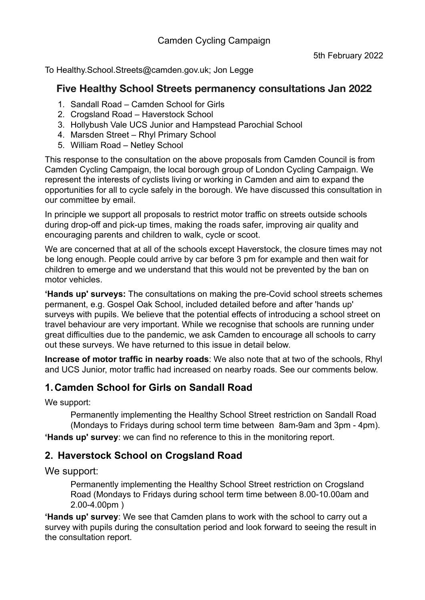To Healthy.School.Streets@camden.gov.uk; Jon Legge

### **Five Healthy School Streets permanency consultations Jan 2022**

- 1. Sandall Road Camden School for Girls
- 2. Crogsland Road Haverstock School
- 3. Hollybush Vale UCS Junior and Hampstead Parochial School
- 4. Marsden Street Rhyl Primary School
- 5. William Road Netley School

This response to the consultation on the above proposals from Camden Council is from Camden Cycling Campaign, the local borough group of London Cycling Campaign. We represent the interests of cyclists living or working in Camden and aim to expand the opportunities for all to cycle safely in the borough. We have discussed this consultation in our committee by email.

In principle we support all proposals to restrict motor traffic on streets outside schools during drop-off and pick-up times, making the roads safer, improving air quality and encouraging parents and children to walk, cycle or scoot.

We are concerned that at all of the schools except Haverstock, the closure times may not be long enough. People could arrive by car before 3 pm for example and then wait for children to emerge and we understand that this would not be prevented by the ban on motor vehicles.

**'Hands up' surveys:** The consultations on making the pre-Covid school streets schemes permanent, e.g. Gospel Oak School, included detailed before and after 'hands up' surveys with pupils. We believe that the potential effects of introducing a school street on travel behaviour are very important. While we recognise that schools are running under great difficulties due to the pandemic, we ask Camden to encourage all schools to carry out these surveys. We have returned to this issue in detail below.

**Increase of motor traffic in nearby roads**: We also note that at two of the schools, Rhyl and UCS Junior, motor traffic had increased on nearby roads. See our comments below.

## **1.Camden School for Girls on Sandall Road**

We support:

Permanently implementing the Healthy School Street restriction on Sandall Road (Mondays to Fridays during school term time between 8am-9am and 3pm - 4pm).

**'Hands up' survey**: we can find no reference to this in the monitoring report.

## **2. Haverstock School on Crogsland Road**

We support:

Permanently implementing the Healthy School Street restriction on Crogsland Road (Mondays to Fridays during school term time between 8.00-10.00am and 2.00-4.00pm )

**'Hands up' survey**: We see that Camden plans to work with the school to carry out a survey with pupils during the consultation period and look forward to seeing the result in the consultation report.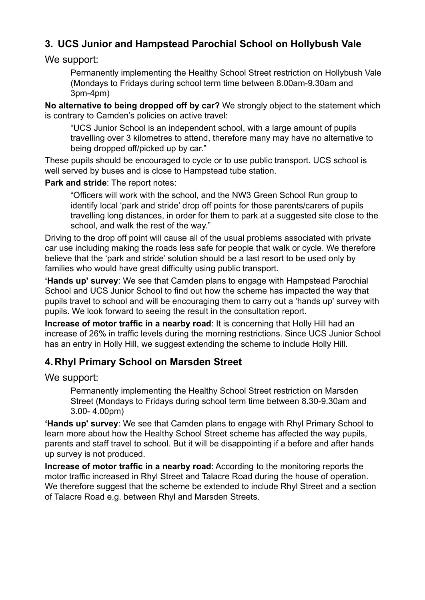# **3. UCS Junior and Hampstead Parochial School on Hollybush Vale**

We support:

Permanently implementing the Healthy School Street restriction on Hollybush Vale (Mondays to Fridays during school term time between 8.00am-9.30am and 3pm-4pm)

**No alternative to being dropped off by car?** We strongly object to the statement which is contrary to Camden's policies on active travel:

"UCS Junior School is an independent school, with a large amount of pupils travelling over 3 kilometres to attend, therefore many may have no alternative to being dropped off/picked up by car."

These pupils should be encouraged to cycle or to use public transport. UCS school is well served by buses and is close to Hampstead tube station.

**Park and stride**: The report notes:

"Officers will work with the school, and the NW3 Green School Run group to identify local 'park and stride' drop off points for those parents/carers of pupils travelling long distances, in order for them to park at a suggested site close to the school, and walk the rest of the way."

Driving to the drop off point will cause all of the usual problems associated with private car use including making the roads less safe for people that walk or cycle. We therefore believe that the 'park and stride' solution should be a last resort to be used only by families who would have great difficulty using public transport.

**'Hands up' survey**: We see that Camden plans to engage with Hampstead Parochial School and UCS Junior School to find out how the scheme has impacted the way that pupils travel to school and will be encouraging them to carry out a 'hands up' survey with pupils. We look forward to seeing the result in the consultation report.

**Increase of motor traffic in a nearby road**: It is concerning that Holly Hill had an increase of 26% in traffic levels during the morning restrictions. Since UCS Junior School has an entry in Holly Hill, we suggest extending the scheme to include Holly Hill.

### **4.Rhyl Primary School on Marsden Street**

We support:

Permanently implementing the Healthy School Street restriction on Marsden Street (Mondays to Fridays during school term time between 8.30-9.30am and 3.00- 4.00pm)

**'Hands up' survey**: We see that Camden plans to engage with Rhyl Primary School to learn more about how the Healthy School Street scheme has affected the way pupils, parents and staff travel to school. But it will be disappointing if a before and after hands up survey is not produced.

**Increase of motor traffic in a nearby road**: According to the monitoring reports the motor traffic increased in Rhyl Street and Talacre Road during the house of operation. We therefore suggest that the scheme be extended to include Rhyl Street and a section of Talacre Road e.g. between Rhyl and Marsden Streets.